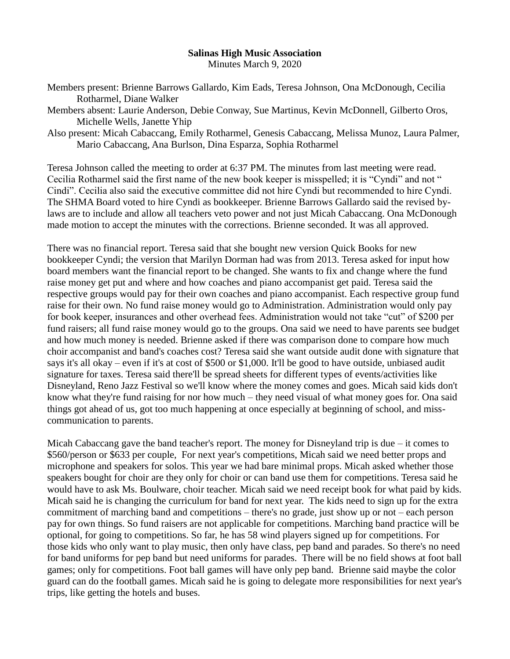## **Salinas High Music Association** Minutes March 9, 2020

Members present: Brienne Barrows Gallardo, Kim Eads, Teresa Johnson, Ona McDonough, Cecilia Rotharmel, Diane Walker

Members absent: Laurie Anderson, Debie Conway, Sue Martinus, Kevin McDonnell, Gilberto Oros, Michelle Wells, Janette Yhip

Also present: Micah Cabaccang, Emily Rotharmel, Genesis Cabaccang, Melissa Munoz, Laura Palmer, Mario Cabaccang, Ana Burlson, Dina Esparza, Sophia Rotharmel

Teresa Johnson called the meeting to order at 6:37 PM. The minutes from last meeting were read. Cecilia Rotharmel said the first name of the new book keeper is misspelled; it is "Cyndi" and not " Cindi". Cecilia also said the executive committee did not hire Cyndi but recommended to hire Cyndi. The SHMA Board voted to hire Cyndi as bookkeeper. Brienne Barrows Gallardo said the revised bylaws are to include and allow all teachers veto power and not just Micah Cabaccang. Ona McDonough made motion to accept the minutes with the corrections. Brienne seconded. It was all approved.

There was no financial report. Teresa said that she bought new version Quick Books for new bookkeeper Cyndi; the version that Marilyn Dorman had was from 2013. Teresa asked for input how board members want the financial report to be changed. She wants to fix and change where the fund raise money get put and where and how coaches and piano accompanist get paid. Teresa said the respective groups would pay for their own coaches and piano accompanist. Each respective group fund raise for their own. No fund raise money would go to Administration. Administration would only pay for book keeper, insurances and other overhead fees. Administration would not take "cut" of \$200 per fund raisers; all fund raise money would go to the groups. Ona said we need to have parents see budget and how much money is needed. Brienne asked if there was comparison done to compare how much choir accompanist and band's coaches cost? Teresa said she want outside audit done with signature that says it's all okay – even if it's at cost of \$500 or \$1,000. It'll be good to have outside, unbiased audit signature for taxes. Teresa said there'll be spread sheets for different types of events/activities like Disneyland, Reno Jazz Festival so we'll know where the money comes and goes. Micah said kids don't know what they're fund raising for nor how much – they need visual of what money goes for. Ona said things got ahead of us, got too much happening at once especially at beginning of school, and misscommunication to parents.

Micah Cabaccang gave the band teacher's report. The money for Disneyland trip is due – it comes to \$560/person or \$633 per couple, For next year's competitions, Micah said we need better props and microphone and speakers for solos. This year we had bare minimal props. Micah asked whether those speakers bought for choir are they only for choir or can band use them for competitions. Teresa said he would have to ask Ms. Boulware, choir teacher. Micah said we need receipt book for what paid by kids. Micah said he is changing the curriculum for band for next year. The kids need to sign up for the extra commitment of marching band and competitions – there's no grade, just show up or not – each person pay for own things. So fund raisers are not applicable for competitions. Marching band practice will be optional, for going to competitions. So far, he has 58 wind players signed up for competitions. For those kids who only want to play music, then only have class, pep band and parades. So there's no need for band uniforms for pep band but need uniforms for parades. There will be no field shows at foot ball games; only for competitions. Foot ball games will have only pep band. Brienne said maybe the color guard can do the football games. Micah said he is going to delegate more responsibilities for next year's trips, like getting the hotels and buses.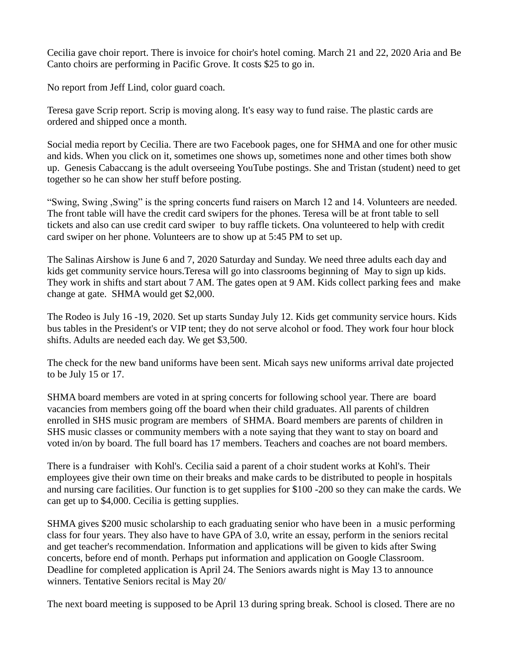Cecilia gave choir report. There is invoice for choir's hotel coming. March 21 and 22, 2020 Aria and Be Canto choirs are performing in Pacific Grove. It costs \$25 to go in.

No report from Jeff Lind, color guard coach.

Teresa gave Scrip report. Scrip is moving along. It's easy way to fund raise. The plastic cards are ordered and shipped once a month.

Social media report by Cecilia. There are two Facebook pages, one for SHMA and one for other music and kids. When you click on it, sometimes one shows up, sometimes none and other times both show up. Genesis Cabaccang is the adult overseeing YouTube postings. She and Tristan (student) need to get together so he can show her stuff before posting.

"Swing, Swing ,Swing" is the spring concerts fund raisers on March 12 and 14. Volunteers are needed. The front table will have the credit card swipers for the phones. Teresa will be at front table to sell tickets and also can use credit card swiper to buy raffle tickets. Ona volunteered to help with credit card swiper on her phone. Volunteers are to show up at 5:45 PM to set up.

The Salinas Airshow is June 6 and 7, 2020 Saturday and Sunday. We need three adults each day and kids get community service hours.Teresa will go into classrooms beginning of May to sign up kids. They work in shifts and start about 7 AM. The gates open at 9 AM. Kids collect parking fees and make change at gate. SHMA would get \$2,000.

The Rodeo is July 16 -19, 2020. Set up starts Sunday July 12. Kids get community service hours. Kids bus tables in the President's or VIP tent; they do not serve alcohol or food. They work four hour block shifts. Adults are needed each day. We get \$3,500.

The check for the new band uniforms have been sent. Micah says new uniforms arrival date projected to be July 15 or 17.

SHMA board members are voted in at spring concerts for following school year. There are board vacancies from members going off the board when their child graduates. All parents of children enrolled in SHS music program are members of SHMA. Board members are parents of children in SHS music classes or community members with a note saying that they want to stay on board and voted in/on by board. The full board has 17 members. Teachers and coaches are not board members.

There is a fundraiser with Kohl's. Cecilia said a parent of a choir student works at Kohl's. Their employees give their own time on their breaks and make cards to be distributed to people in hospitals and nursing care facilities. Our function is to get supplies for \$100 -200 so they can make the cards. We can get up to \$4,000. Cecilia is getting supplies.

SHMA gives \$200 music scholarship to each graduating senior who have been in a music performing class for four years. They also have to have GPA of 3.0, write an essay, perform in the seniors recital and get teacher's recommendation. Information and applications will be given to kids after Swing concerts, before end of month. Perhaps put information and application on Google Classroom. Deadline for completed application is April 24. The Seniors awards night is May 13 to announce winners. Tentative Seniors recital is May 20/

The next board meeting is supposed to be April 13 during spring break. School is closed. There are no